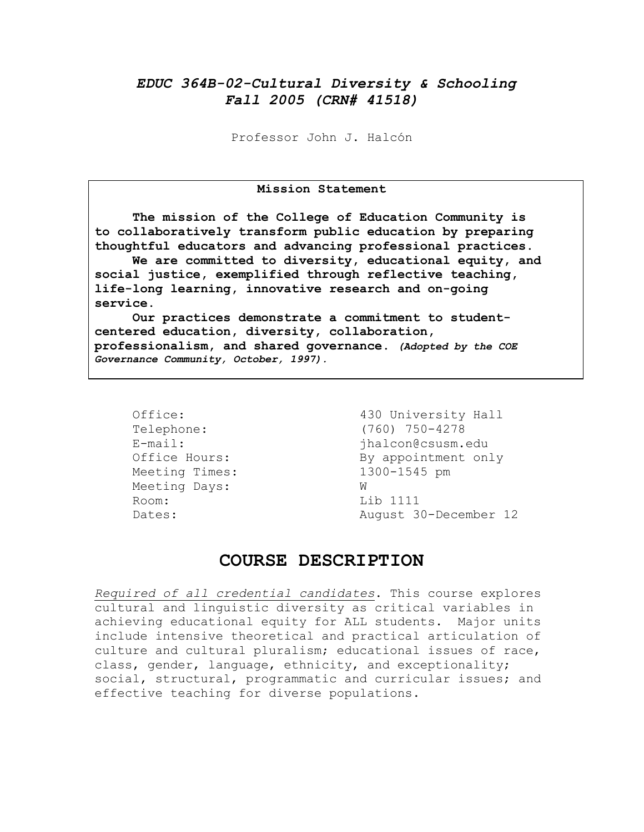# *EDUC 364B-02-Cultural Diversity & Schooling Fall 2005 (CRN# 41518)*

Professor John J. Halcón

#### **Mission Statement**

**The mission of the College of Education Community is to collaboratively transform public education by preparing thoughtful educators and advancing professional practices.** 

**We are committed to diversity, educational equity, and social justice, exemplified through reflective teaching, life-long learning, innovative research and on-going service.** 

**Our practices demonstrate a commitment to studentcentered education, diversity, collaboration, professionalism, and shared governance.** *(Adopted by the COE Governance Community, October, 1997).* 

Meeting Times: 1300-1545 pm Meeting Days: W Room: Lib 1111

Office: 430 University Hall Telephone: (760) 750-4278 E-mail:  $\qquad \qquad$  ihalcon@csusm.edu Office Hours: By appointment only Dates: Nugust 30-December 12

# **COURSE DESCRIPTION**

*Required of all credential candidates*. This course explores cultural and linguistic diversity as critical variables in achieving educational equity for ALL students. Major units include intensive theoretical and practical articulation of culture and cultural pluralism; educational issues of race, class, gender, language, ethnicity, and exceptionality; social, structural, programmatic and curricular issues; and effective teaching for diverse populations.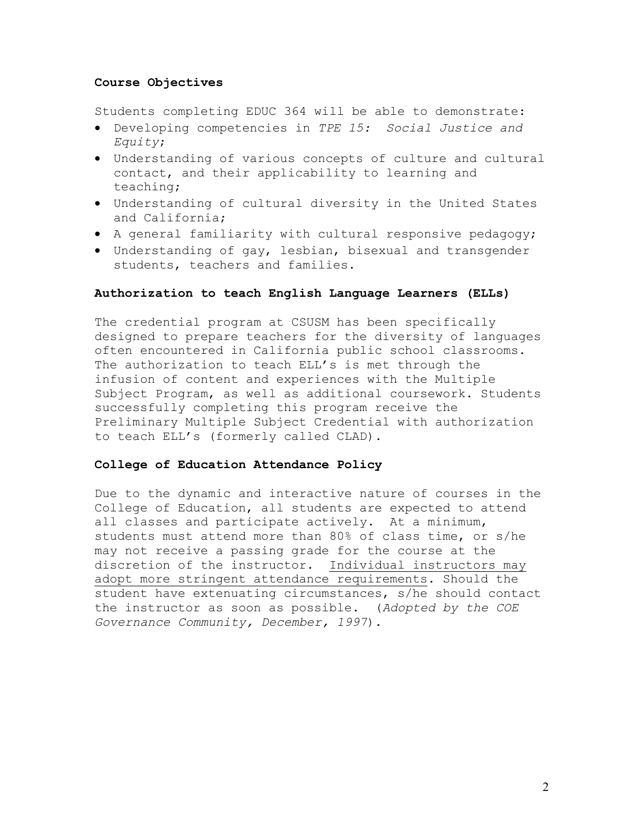#### **Course Objectives**

Students completing EDUC 364 will be able to demonstrate:

- Developing competencies in *TPE 15: Social Justice and Equity*;
- Understanding of various concepts of culture and cultural contact, and their applicability to learning and teaching;
- Understanding of cultural diversity in the United States and California;
- A general familiarity with cultural responsive pedagogy;
- Understanding of gay, lesbian, bisexual and transgender students, teachers and families.

### **Authorization to teach English Language Learners (ELLs)**

The credential program at CSUSM has been specifically designed to prepare teachers for the diversity of languages often encountered in California public school classrooms. The authorization to teach ELL's is met through the infusion of content and experiences with the Multiple Subject Program, as well as additional coursework. Students successfully completing this program receive the Preliminary Multiple Subject Credential with authorization to teach ELL's (formerly called CLAD).

#### **College of Education Attendance Policy**

Due to the dynamic and interactive nature of courses in the College of Education, all students are expected to attend all classes and participate actively. At a minimum, students must attend more than 80% of class time, or s/he may not receive a passing grade for the course at the discretion of the instructor. Individual instructors may adopt more stringent attendance requirements. Should the student have extenuating circumstances, s/he should contact the instructor as soon as possible. (*Adopted by the COE Governance Community, December, 1997*).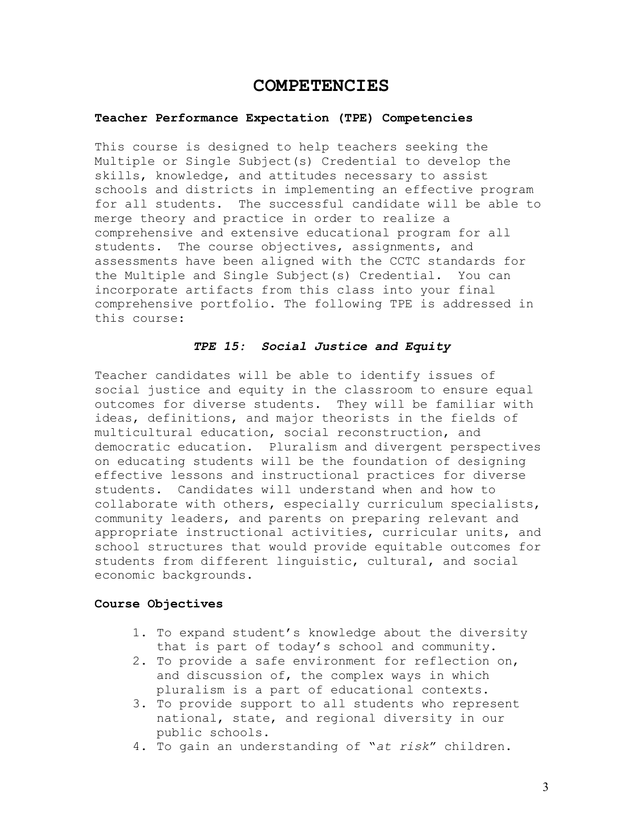## **COMPETENCIES**

#### **Teacher Performance Expectation (TPE) Competencies**

This course is designed to help teachers seeking the Multiple or Single Subject(s) Credential to develop the skills, knowledge, and attitudes necessary to assist schools and districts in implementing an effective program for all students. The successful candidate will be able to merge theory and practice in order to realize a comprehensive and extensive educational program for all students. The course objectives, assignments, and assessments have been aligned with the CCTC standards for the Multiple and Single Subject(s) Credential. You can incorporate artifacts from this class into your final comprehensive portfolio. The following TPE is addressed in this course:

### *TPE 15: Social Justice and Equity*

Teacher candidates will be able to identify issues of social justice and equity in the classroom to ensure equal outcomes for diverse students. They will be familiar with ideas, definitions, and major theorists in the fields of multicultural education, social reconstruction, and democratic education. Pluralism and divergent perspectives on educating students will be the foundation of designing effective lessons and instructional practices for diverse students. Candidates will understand when and how to collaborate with others, especially curriculum specialists, community leaders, and parents on preparing relevant and appropriate instructional activities, curricular units, and school structures that would provide equitable outcomes for students from different linguistic, cultural, and social economic backgrounds.

#### **Course Objectives**

- 1. To expand student's knowledge about the diversity that is part of today's school and community.
- 2. To provide a safe environment for reflection on, and discussion of, the complex ways in which pluralism is a part of educational contexts.
- 3. To provide support to all students who represent national, state, and regional diversity in our public schools.
- 4. To gain an understanding of "*at risk*" children.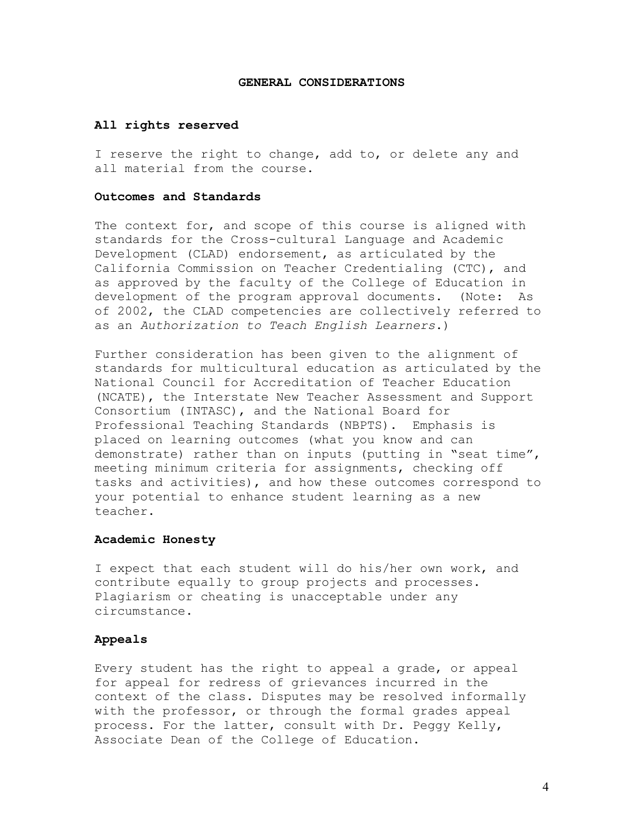#### **GENERAL CONSIDERATIONS**

#### **All rights reserved**

I reserve the right to change, add to, or delete any and all material from the course.

### **Outcomes and Standards**

The context for, and scope of this course is aligned with standards for the Cross-cultural Language and Academic Development (CLAD) endorsement, as articulated by the California Commission on Teacher Credentialing (CTC), and as approved by the faculty of the College of Education in development of the program approval documents. (Note: As of 2002, the CLAD competencies are collectively referred to as an *Authorization to Teach English Learners*.)

Further consideration has been given to the alignment of standards for multicultural education as articulated by the National Council for Accreditation of Teacher Education (NCATE), the Interstate New Teacher Assessment and Support Consortium (INTASC), and the National Board for Professional Teaching Standards (NBPTS). Emphasis is placed on learning outcomes (what you know and can demonstrate) rather than on inputs (putting in "seat time", meeting minimum criteria for assignments, checking off tasks and activities), and how these outcomes correspond to your potential to enhance student learning as a new teacher.

#### **Academic Honesty**

I expect that each student will do his/her own work, and contribute equally to group projects and processes. Plagiarism or cheating is unacceptable under any circumstance.

#### **Appeals**

Every student has the right to appeal a grade, or appeal for appeal for redress of grievances incurred in the context of the class. Disputes may be resolved informally with the professor, or through the formal grades appeal process. For the latter, consult with Dr. Peggy Kelly, Associate Dean of the College of Education.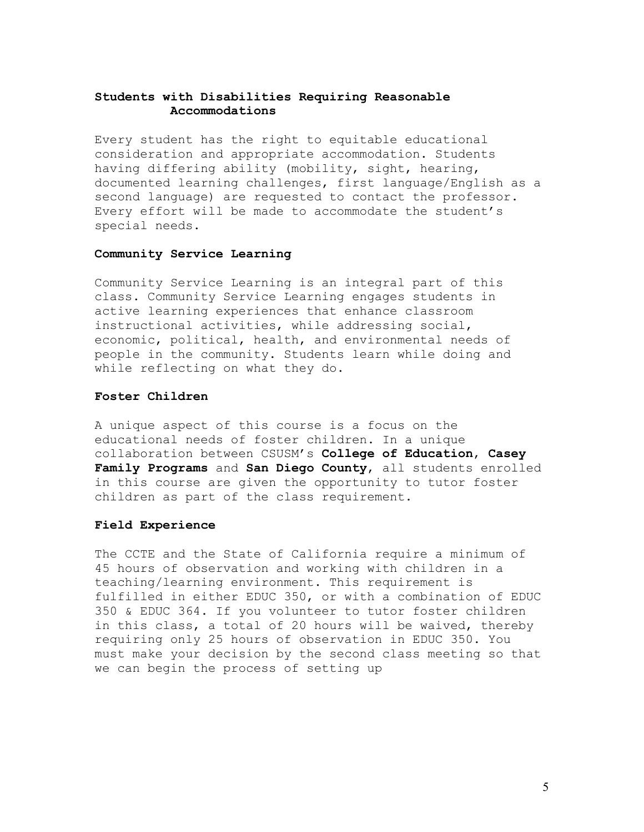### **Students with Disabilities Requiring Reasonable Accommodations**

Every student has the right to equitable educational consideration and appropriate accommodation. Students having differing ability (mobility, sight, hearing, documented learning challenges, first language/English as a second language) are requested to contact the professor. Every effort will be made to accommodate the student's special needs.

### **Community Service Learning**

Community Service Learning is an integral part of this class. Community Service Learning engages students in active learning experiences that enhance classroom instructional activities, while addressing social, economic, political, health, and environmental needs of people in the community. Students learn while doing and while reflecting on what they do.

#### **Foster Children**

A unique aspect of this course is a focus on the educational needs of foster children. In a unique collaboration between CSUSM's **College of Education**, **Casey Family Programs** and **San Diego County**, all students enrolled in this course are given the opportunity to tutor foster children as part of the class requirement.

#### **Field Experience**

The CCTE and the State of California require a minimum of 45 hours of observation and working with children in a teaching/learning environment. This requirement is fulfilled in either EDUC 350, or with a combination of EDUC 350 & EDUC 364. If you volunteer to tutor foster children in this class, a total of 20 hours will be waived, thereby requiring only 25 hours of observation in EDUC 350. You must make your decision by the second class meeting so that we can begin the process of setting up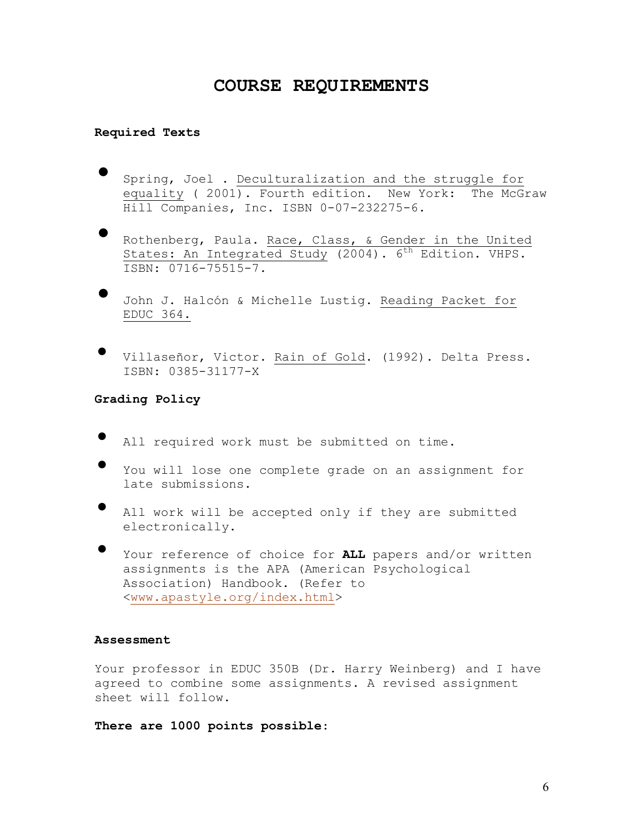# **COURSE REQUIREMENTS**

#### **Required Texts**

- Spring, Joel . Deculturalization and the struggle for equality ( 2001). Fourth edition. New York: The McGraw Hill Companies, Inc. ISBN 0-07-232275-6.
- Rothenberg, Paula. Race, Class, & Gender in the United States: An Integrated Study (2004).  $6<sup>th</sup>$  Edition. VHPS. ISBN: 0716-75515-7.
- John J. Halcón & Michelle Lustig. Reading Packet for EDUC 364.
- Villaseñor, Victor. Rain of Gold. (1992). Delta Press. ISBN: 0385-31177-X

**Grading Policy** 

- All required work must be submitted on time.
- You will lose one complete grade on an assignment for late submissions.
- All work will be accepted only if they are submitted electronically.
- Your reference of choice for **ALL** papers and/or written assignments is the APA (American Psychological Association) Handbook. (Refer to <www.apastyle.org/index.html>

### **Assessment**

Your professor in EDUC 350B (Dr. Harry Weinberg) and I have agreed to combine some assignments. A revised assignment sheet will follow.

**There are 1000 points possible**: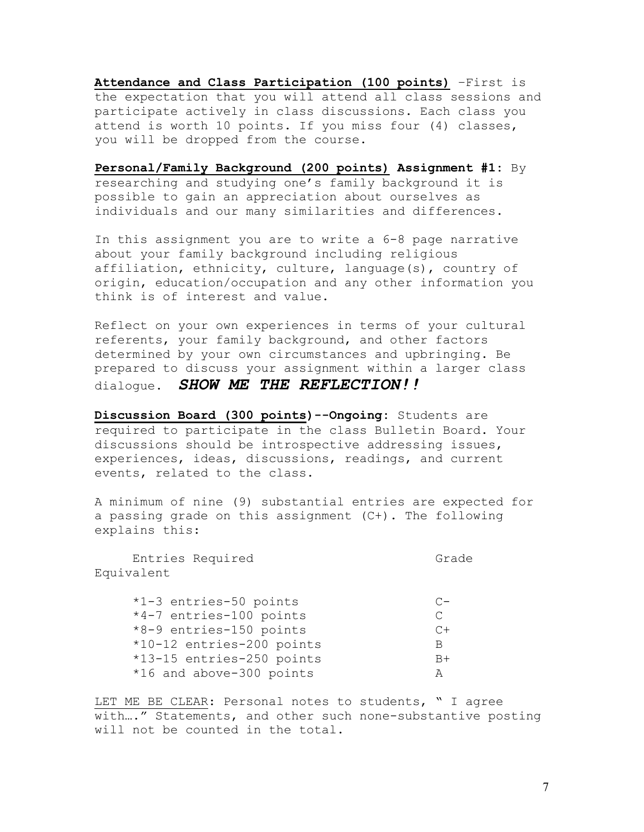**Attendance and Class Participation (100 points)** –First is the expectation that you will attend all class sessions and participate actively in class discussions. Each class you attend is worth 10 points. If you miss four (4) classes, you will be dropped from the course.

**Personal/Family Background (200 points) Assignment #1:** By researching and studying one's family background it is possible to gain an appreciation about ourselves as individuals and our many similarities and differences.

In this assignment you are to write a 6-8 page narrative about your family background including religious affiliation, ethnicity, culture, language(s), country of origin, education/occupation and any other information you think is of interest and value.

Reflect on your own experiences in terms of your cultural referents, your family background, and other factors determined by your own circumstances and upbringing. Be prepared to discuss your assignment within a larger class dialogue. *SHOW ME THE REFLECTION!!* 

**Discussion Board (300 points)--Ongoing:** Students are required to participate in the class Bulletin Board. Your discussions should be introspective addressing issues, experiences, ideas, discussions, readings, and current events, related to the class.

A minimum of nine (9) substantial entries are expected for a passing grade on this assignment (C+). The following explains this:

Entries Required Grade Equivalent

| *1-3 entries-50 points    | $C-$ |
|---------------------------|------|
| *4-7 entries-100 points   | C    |
| *8-9 entries-150 points   | $C+$ |
| *10-12 entries-200 points | B    |
| *13-15 entries-250 points | $B+$ |
| *16 and above-300 points  | A    |

LET ME BE CLEAR: Personal notes to students, " I agree with…." Statements, and other such none-substantive posting will not be counted in the total.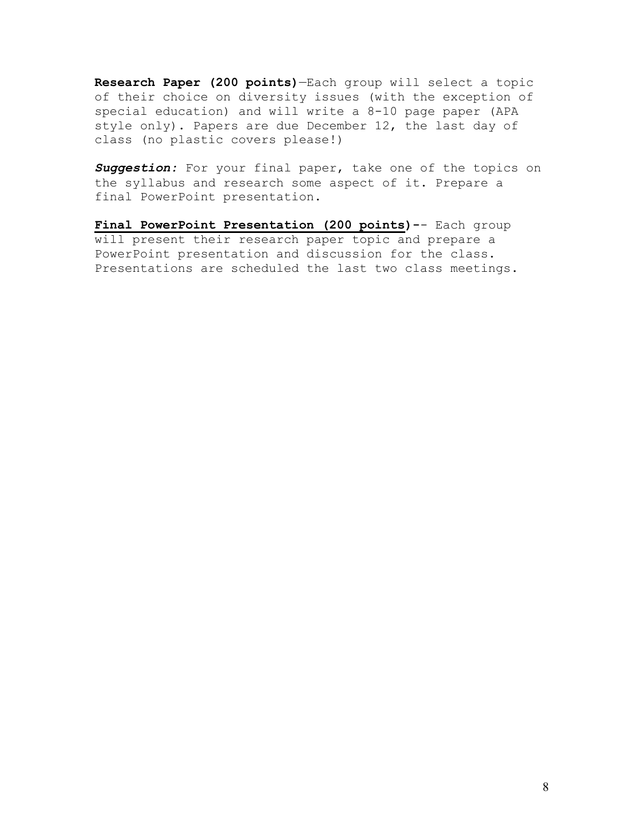**Research Paper (200 points)**—Each group will select a topic of their choice on diversity issues (with the exception of special education) and will write a 8-10 page paper (APA style only). Papers are due December 12, the last day of class (no plastic covers please!)

Suggestion: For your final paper, take one of the topics on the syllabus and research some aspect of it. Prepare a final PowerPoint presentation.

**Final PowerPoint Presentation (200 points)-**- Each group will present their research paper topic and prepare a PowerPoint presentation and discussion for the class. Presentations are scheduled the last two class meetings.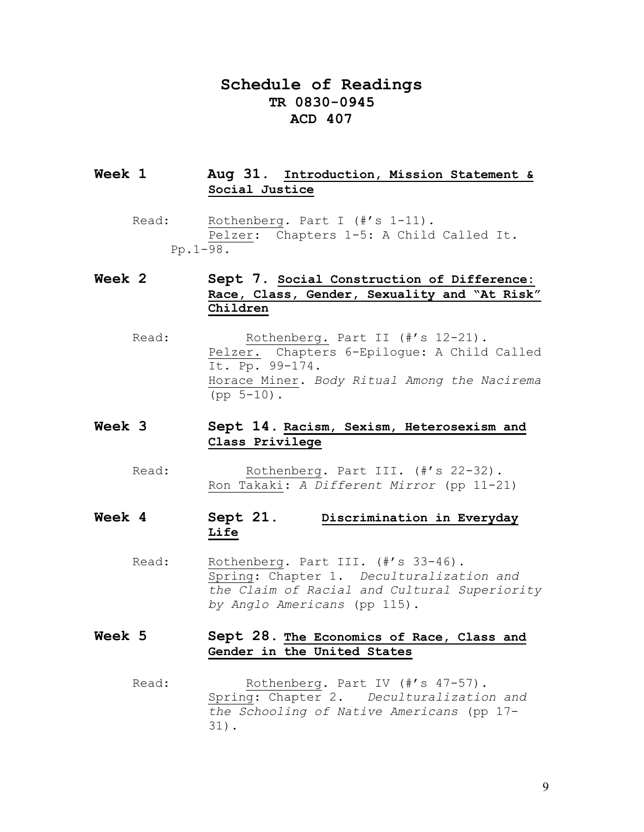# **Schedule of Readings TR 0830-0945 ACD 407**

## **Week 1 Aug 31**. **Introduction, Mission Statement & Social Justice**

Read: Rothenberg. Part I (#'s 1-11). Pelzer: Chapters 1-5: A Child Called It. Pp.1-98.

# **Week 2 Sept 7. Social Construction of Difference: Race, Class, Gender, Sexuality and "At Risk" Children**

Read: Rothenberg. Part II (#'s 12-21). Pelzer. Chapters 6-Epilogue: A Child Called It. Pp. 99-174. Horace Miner. *Body Ritual Among the Nacirema*  $(pp 5-10)$ .

## **Week 3 Sept 14**. **Racism, Sexism, Heterosexism and Class Privilege**

Read: Rothenberg. Part III. (#'s 22-32). Ron Takaki: *A Different Mirror* (pp 11-21)

# **Week 4 Sept 21**. **Discrimination in Everyday Life**

Read: Rothenberg. Part III. (#'s 33-46). Spring: Chapter 1. *Deculturalization and the Claim of Racial and Cultural Superiority by Anglo Americans* (pp 115).

## **Week 5 Sept 28. The Economics of Race, Class and Gender in the United States**

Read: Rothenberg. Part IV (#'s 47-57). Spring: Chapter 2. *Deculturalization and the Schooling of Native Americans* (pp 17- 31).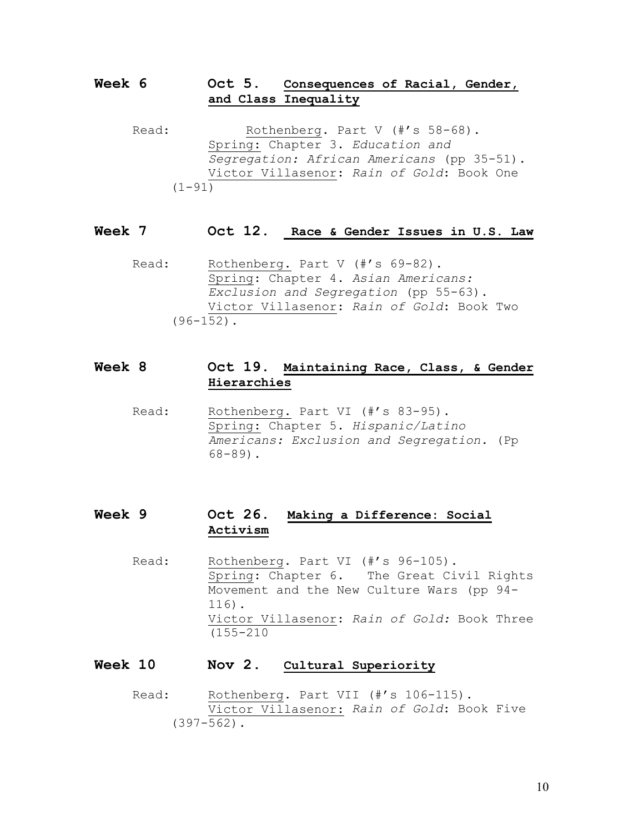## **Week 6 Oct 5. Consequences of Racial, Gender, and Class Inequality**

Read: Rothenberg. Part V (#'s 58-68). Spring: Chapter 3. *Education and Segregation: African Americans* (pp 35-51). Victor Villasenor: *Rain of Gold*: Book One  $(1 - 91)$ 

## **Week 7 Oct 12. Race & Gender Issues in U.S. Law**

Read: Rothenberg. Part V (#'s 69-82). Spring: Chapter 4. *Asian Americans: Exclusion and Segregation* (pp 55-63). Victor Villasenor: *Rain of Gold*: Book Two  $(96-152)$ .

## **Week 8 Oct 19. Maintaining Race, Class, & Gender Hierarchies**

Read: Rothenberg. Part VI (#'s 83-95). Spring: Chapter 5. *Hispanic/Latino Americans: Exclusion and Segregation.* (Pp 68-89).

# **Week 9 Oct 26. Making a Difference: Social Activism**

Read: Rothenberg. Part VI (#'s 96-105). Spring: Chapter 6. The Great Civil Rights Movement and the New Culture Wars (pp 94- 116). Victor Villasenor: *Rain of Gold:* Book Three (155-210

## **Week 10 Nov 2**. **Cultural Superiority**

Read: Rothenberg. Part VII (#'s 106-115). Victor Villasenor: *Rain of Gold*: Book Five (397-562).